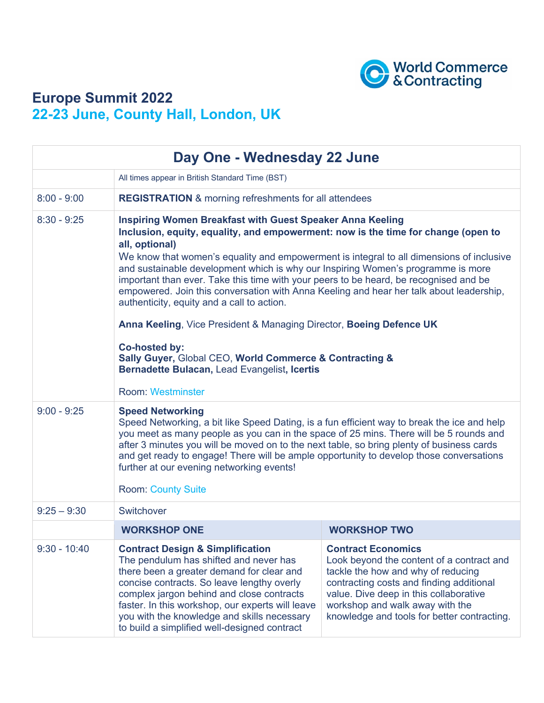

## **Europe Summit 2022 22-23 June, County Hall, London, UK**

| Day One - Wednesday 22 June |                                                                                                                                                                                                                                                                                                                                                                                                                                                                                                                                                                                                                                                                                                                                                                                                     |                                                                                                                                                                                                                                                                                      |
|-----------------------------|-----------------------------------------------------------------------------------------------------------------------------------------------------------------------------------------------------------------------------------------------------------------------------------------------------------------------------------------------------------------------------------------------------------------------------------------------------------------------------------------------------------------------------------------------------------------------------------------------------------------------------------------------------------------------------------------------------------------------------------------------------------------------------------------------------|--------------------------------------------------------------------------------------------------------------------------------------------------------------------------------------------------------------------------------------------------------------------------------------|
|                             | All times appear in British Standard Time (BST)                                                                                                                                                                                                                                                                                                                                                                                                                                                                                                                                                                                                                                                                                                                                                     |                                                                                                                                                                                                                                                                                      |
| $8:00 - 9:00$               | <b>REGISTRATION &amp; morning refreshments for all attendees</b>                                                                                                                                                                                                                                                                                                                                                                                                                                                                                                                                                                                                                                                                                                                                    |                                                                                                                                                                                                                                                                                      |
| $8:30 - 9:25$               | <b>Inspiring Women Breakfast with Guest Speaker Anna Keeling</b><br>Inclusion, equity, equality, and empowerment: now is the time for change (open to<br>all, optional)<br>We know that women's equality and empowerment is integral to all dimensions of inclusive<br>and sustainable development which is why our Inspiring Women's programme is more<br>important than ever. Take this time with your peers to be heard, be recognised and be<br>empowered. Join this conversation with Anna Keeling and hear her talk about leadership,<br>authenticity, equity and a call to action.<br>Anna Keeling, Vice President & Managing Director, Boeing Defence UK<br><b>Co-hosted by:</b><br>Sally Guyer, Global CEO, World Commerce & Contracting &<br>Bernadette Bulacan, Lead Evangelist, Icertis |                                                                                                                                                                                                                                                                                      |
| $9:00 - 9:25$               | <b>Room: Westminster</b><br><b>Speed Networking</b><br>Speed Networking, a bit like Speed Dating, is a fun efficient way to break the ice and help<br>you meet as many people as you can in the space of 25 mins. There will be 5 rounds and<br>after 3 minutes you will be moved on to the next table, so bring plenty of business cards<br>and get ready to engage! There will be ample opportunity to develop those conversations<br>further at our evening networking events!<br><b>Room: County Suite</b>                                                                                                                                                                                                                                                                                      |                                                                                                                                                                                                                                                                                      |
| $9:25 - 9:30$               | Switchover                                                                                                                                                                                                                                                                                                                                                                                                                                                                                                                                                                                                                                                                                                                                                                                          |                                                                                                                                                                                                                                                                                      |
|                             | <b>WORKSHOP ONE</b>                                                                                                                                                                                                                                                                                                                                                                                                                                                                                                                                                                                                                                                                                                                                                                                 | <b>WORKSHOP TWO</b>                                                                                                                                                                                                                                                                  |
| $9:30 - 10:40$              | <b>Contract Design &amp; Simplification</b><br>The pendulum has shifted and never has<br>there been a greater demand for clear and<br>concise contracts. So leave lengthy overly<br>complex jargon behind and close contracts<br>faster. In this workshop, our experts will leave<br>you with the knowledge and skills necessary<br>to build a simplified well-designed contract                                                                                                                                                                                                                                                                                                                                                                                                                    | <b>Contract Economics</b><br>Look beyond the content of a contract and<br>tackle the how and why of reducing<br>contracting costs and finding additional<br>value. Dive deep in this collaborative<br>workshop and walk away with the<br>knowledge and tools for better contracting. |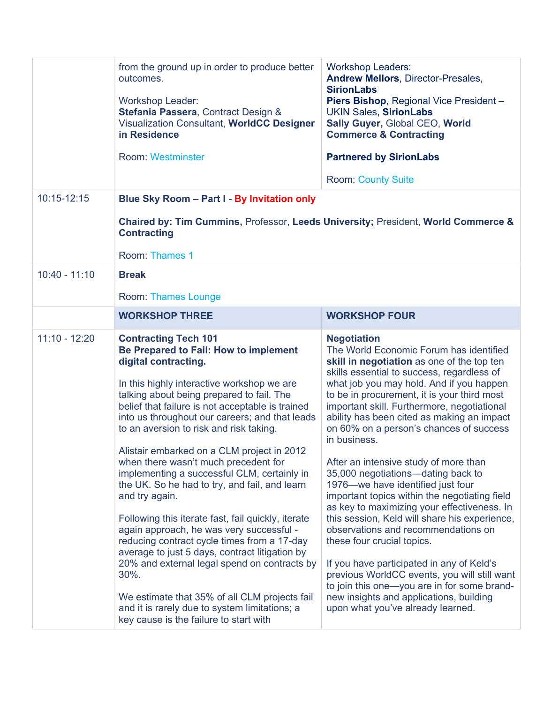|                 | from the ground up in order to produce better<br>outcomes.<br><b>Workshop Leader:</b><br>Stefania Passera, Contract Design &<br>Visualization Consultant, WorldCC Designer<br>in Residence<br><b>Room: Westminster</b>                                                                                                                                                                                                                                                                                                                                                                                                                                                                                                                                                                                                                                                                                                                                  | <b>Workshop Leaders:</b><br><b>Andrew Mellors, Director-Presales,</b><br><b>SirionLabs</b><br>Piers Bishop, Regional Vice President -<br><b>UKIN Sales, SirionLabs</b><br>Sally Guyer, Global CEO, World<br><b>Commerce &amp; Contracting</b><br><b>Partnered by SirionLabs</b><br><b>Room: County Suite</b>                                                                                                                                                                                                                                                                                                                                                                                                                                                                                                                                                                                                                                                                       |
|-----------------|---------------------------------------------------------------------------------------------------------------------------------------------------------------------------------------------------------------------------------------------------------------------------------------------------------------------------------------------------------------------------------------------------------------------------------------------------------------------------------------------------------------------------------------------------------------------------------------------------------------------------------------------------------------------------------------------------------------------------------------------------------------------------------------------------------------------------------------------------------------------------------------------------------------------------------------------------------|------------------------------------------------------------------------------------------------------------------------------------------------------------------------------------------------------------------------------------------------------------------------------------------------------------------------------------------------------------------------------------------------------------------------------------------------------------------------------------------------------------------------------------------------------------------------------------------------------------------------------------------------------------------------------------------------------------------------------------------------------------------------------------------------------------------------------------------------------------------------------------------------------------------------------------------------------------------------------------|
| 10:15-12:15     | Blue Sky Room - Part I - By Invitation only                                                                                                                                                                                                                                                                                                                                                                                                                                                                                                                                                                                                                                                                                                                                                                                                                                                                                                             |                                                                                                                                                                                                                                                                                                                                                                                                                                                                                                                                                                                                                                                                                                                                                                                                                                                                                                                                                                                    |
|                 | Chaired by: Tim Cummins, Professor, Leeds University; President, World Commerce &<br><b>Contracting</b>                                                                                                                                                                                                                                                                                                                                                                                                                                                                                                                                                                                                                                                                                                                                                                                                                                                 |                                                                                                                                                                                                                                                                                                                                                                                                                                                                                                                                                                                                                                                                                                                                                                                                                                                                                                                                                                                    |
|                 | Room: Thames 1                                                                                                                                                                                                                                                                                                                                                                                                                                                                                                                                                                                                                                                                                                                                                                                                                                                                                                                                          |                                                                                                                                                                                                                                                                                                                                                                                                                                                                                                                                                                                                                                                                                                                                                                                                                                                                                                                                                                                    |
| $10:40 - 11:10$ | <b>Break</b><br><b>Room: Thames Lounge</b>                                                                                                                                                                                                                                                                                                                                                                                                                                                                                                                                                                                                                                                                                                                                                                                                                                                                                                              |                                                                                                                                                                                                                                                                                                                                                                                                                                                                                                                                                                                                                                                                                                                                                                                                                                                                                                                                                                                    |
|                 | <b>WORKSHOP THREE</b>                                                                                                                                                                                                                                                                                                                                                                                                                                                                                                                                                                                                                                                                                                                                                                                                                                                                                                                                   | <b>WORKSHOP FOUR</b>                                                                                                                                                                                                                                                                                                                                                                                                                                                                                                                                                                                                                                                                                                                                                                                                                                                                                                                                                               |
| $11:10 - 12:20$ | <b>Contracting Tech 101</b><br>Be Prepared to Fail: How to implement<br>digital contracting.<br>In this highly interactive workshop we are<br>talking about being prepared to fail. The<br>belief that failure is not acceptable is trained<br>into us throughout our careers; and that leads<br>to an aversion to risk and risk taking.<br>Alistair embarked on a CLM project in 2012<br>when there wasn't much precedent for<br>implementing a successful CLM, certainly in<br>the UK. So he had to try, and fail, and learn<br>and try again.<br>Following this iterate fast, fail quickly, iterate<br>again approach, he was very successful -<br>reducing contract cycle times from a 17-day<br>average to just 5 days, contract litigation by<br>20% and external legal spend on contracts by<br>30%.<br>We estimate that 35% of all CLM projects fail<br>and it is rarely due to system limitations; a<br>key cause is the failure to start with | <b>Negotiation</b><br>The World Economic Forum has identified<br>skill in negotiation as one of the top ten<br>skills essential to success, regardless of<br>what job you may hold. And if you happen<br>to be in procurement, it is your third most<br>important skill. Furthermore, negotiational<br>ability has been cited as making an impact<br>on 60% on a person's chances of success<br>in business.<br>After an intensive study of more than<br>35,000 negotiations—dating back to<br>1976-we have identified just four<br>important topics within the negotiating field<br>as key to maximizing your effectiveness. In<br>this session, Keld will share his experience,<br>observations and recommendations on<br>these four crucial topics.<br>If you have participated in any of Keld's<br>previous WorldCC events, you will still want<br>to join this one-you are in for some brand-<br>new insights and applications, building<br>upon what you've already learned. |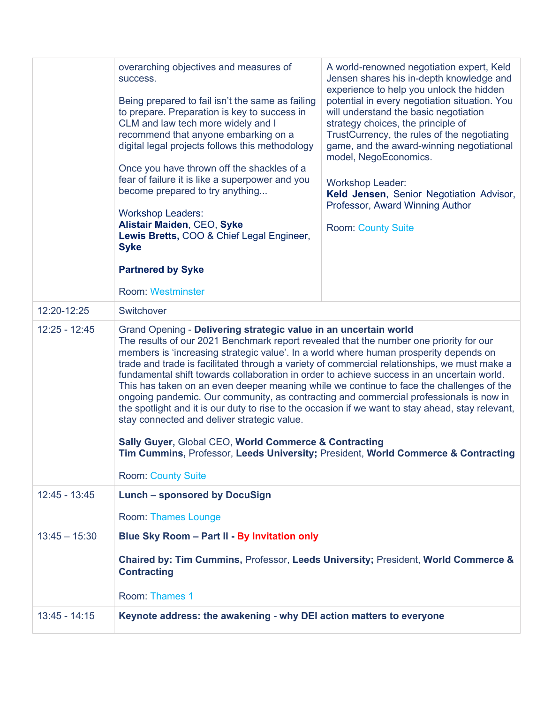|                 | overarching objectives and measures of<br>success.<br>Being prepared to fail isn't the same as failing<br>to prepare. Preparation is key to success in<br>CLM and law tech more widely and I<br>recommend that anyone embarking on a<br>digital legal projects follows this methodology<br>Once you have thrown off the shackles of a<br>fear of failure it is like a superpower and you<br>become prepared to try anything<br><b>Workshop Leaders:</b><br>Alistair Maiden, CEO, Syke<br>Lewis Bretts, COO & Chief Legal Engineer,<br><b>Syke</b><br><b>Partnered by Syke</b><br><b>Room: Westminster</b>                                                                                                                                                                                                                                                                                                                                                              | A world-renowned negotiation expert, Keld<br>Jensen shares his in-depth knowledge and<br>experience to help you unlock the hidden<br>potential in every negotiation situation. You<br>will understand the basic negotiation<br>strategy choices, the principle of<br>TrustCurrency, the rules of the negotiating<br>game, and the award-winning negotiational<br>model, NegoEconomics.<br><b>Workshop Leader:</b><br>Keld Jensen, Senior Negotiation Advisor,<br>Professor, Award Winning Author<br><b>Room: County Suite</b> |
|-----------------|------------------------------------------------------------------------------------------------------------------------------------------------------------------------------------------------------------------------------------------------------------------------------------------------------------------------------------------------------------------------------------------------------------------------------------------------------------------------------------------------------------------------------------------------------------------------------------------------------------------------------------------------------------------------------------------------------------------------------------------------------------------------------------------------------------------------------------------------------------------------------------------------------------------------------------------------------------------------|-------------------------------------------------------------------------------------------------------------------------------------------------------------------------------------------------------------------------------------------------------------------------------------------------------------------------------------------------------------------------------------------------------------------------------------------------------------------------------------------------------------------------------|
| 12:20-12:25     | Switchover                                                                                                                                                                                                                                                                                                                                                                                                                                                                                                                                                                                                                                                                                                                                                                                                                                                                                                                                                             |                                                                                                                                                                                                                                                                                                                                                                                                                                                                                                                               |
| $12:25 - 12:45$ | Grand Opening - Delivering strategic value in an uncertain world<br>The results of our 2021 Benchmark report revealed that the number one priority for our<br>members is 'increasing strategic value'. In a world where human prosperity depends on<br>trade and trade is facilitated through a variety of commercial relationships, we must make a<br>fundamental shift towards collaboration in order to achieve success in an uncertain world.<br>This has taken on an even deeper meaning while we continue to face the challenges of the<br>ongoing pandemic. Our community, as contracting and commercial professionals is now in<br>the spotlight and it is our duty to rise to the occasion if we want to stay ahead, stay relevant,<br>stay connected and deliver strategic value.<br>Sally Guyer, Global CEO, World Commerce & Contracting<br>Tim Cummins, Professor, Leeds University; President, World Commerce & Contracting<br><b>Room: County Suite</b> |                                                                                                                                                                                                                                                                                                                                                                                                                                                                                                                               |
| $12:45 - 13:45$ | <b>Lunch - sponsored by DocuSign</b>                                                                                                                                                                                                                                                                                                                                                                                                                                                                                                                                                                                                                                                                                                                                                                                                                                                                                                                                   |                                                                                                                                                                                                                                                                                                                                                                                                                                                                                                                               |
|                 | Room: Thames Lounge                                                                                                                                                                                                                                                                                                                                                                                                                                                                                                                                                                                                                                                                                                                                                                                                                                                                                                                                                    |                                                                                                                                                                                                                                                                                                                                                                                                                                                                                                                               |
| $13:45 - 15:30$ | Blue Sky Room - Part II - By Invitation only                                                                                                                                                                                                                                                                                                                                                                                                                                                                                                                                                                                                                                                                                                                                                                                                                                                                                                                           |                                                                                                                                                                                                                                                                                                                                                                                                                                                                                                                               |
|                 | Chaired by: Tim Cummins, Professor, Leeds University; President, World Commerce &<br><b>Contracting</b><br>Room: Thames 1                                                                                                                                                                                                                                                                                                                                                                                                                                                                                                                                                                                                                                                                                                                                                                                                                                              |                                                                                                                                                                                                                                                                                                                                                                                                                                                                                                                               |
| $13:45 - 14:15$ | Keynote address: the awakening - why DEI action matters to everyone                                                                                                                                                                                                                                                                                                                                                                                                                                                                                                                                                                                                                                                                                                                                                                                                                                                                                                    |                                                                                                                                                                                                                                                                                                                                                                                                                                                                                                                               |
|                 |                                                                                                                                                                                                                                                                                                                                                                                                                                                                                                                                                                                                                                                                                                                                                                                                                                                                                                                                                                        |                                                                                                                                                                                                                                                                                                                                                                                                                                                                                                                               |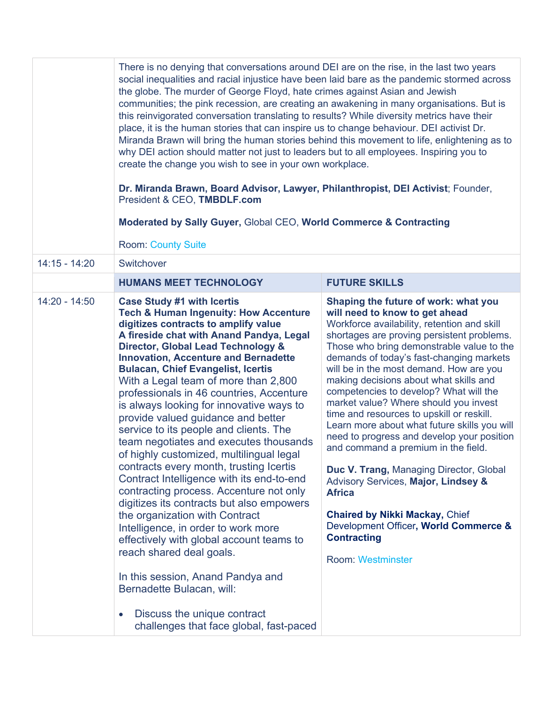|                 | There is no denying that conversations around DEI are on the rise, in the last two years<br>social inequalities and racial injustice have been laid bare as the pandemic stormed across<br>the globe. The murder of George Floyd, hate crimes against Asian and Jewish<br>communities; the pink recession, are creating an awakening in many organisations. But is<br>this reinvigorated conversation translating to results? While diversity metrics have their<br>place, it is the human stories that can inspire us to change behaviour. DEI activist Dr.<br>Miranda Brawn will bring the human stories behind this movement to life, enlightening as to<br>why DEI action should matter not just to leaders but to all employees. Inspiring you to<br>create the change you wish to see in your own workplace.<br>Dr. Miranda Brawn, Board Advisor, Lawyer, Philanthropist, DEI Activist; Founder,<br>President & CEO, TMBDLF.com<br>Moderated by Sally Guyer, Global CEO, World Commerce & Contracting<br><b>Room: County Suite</b>                                                                    |                                                                                                                                                                                                                                                                                                                                                                                                                                                                                                                                                                                                                                                                                                                                                                                                                                                               |
|-----------------|-------------------------------------------------------------------------------------------------------------------------------------------------------------------------------------------------------------------------------------------------------------------------------------------------------------------------------------------------------------------------------------------------------------------------------------------------------------------------------------------------------------------------------------------------------------------------------------------------------------------------------------------------------------------------------------------------------------------------------------------------------------------------------------------------------------------------------------------------------------------------------------------------------------------------------------------------------------------------------------------------------------------------------------------------------------------------------------------------------------|---------------------------------------------------------------------------------------------------------------------------------------------------------------------------------------------------------------------------------------------------------------------------------------------------------------------------------------------------------------------------------------------------------------------------------------------------------------------------------------------------------------------------------------------------------------------------------------------------------------------------------------------------------------------------------------------------------------------------------------------------------------------------------------------------------------------------------------------------------------|
| $14:15 - 14:20$ | Switchover                                                                                                                                                                                                                                                                                                                                                                                                                                                                                                                                                                                                                                                                                                                                                                                                                                                                                                                                                                                                                                                                                                  |                                                                                                                                                                                                                                                                                                                                                                                                                                                                                                                                                                                                                                                                                                                                                                                                                                                               |
|                 | <b>HUMANS MEET TECHNOLOGY</b>                                                                                                                                                                                                                                                                                                                                                                                                                                                                                                                                                                                                                                                                                                                                                                                                                                                                                                                                                                                                                                                                               | <b>FUTURE SKILLS</b>                                                                                                                                                                                                                                                                                                                                                                                                                                                                                                                                                                                                                                                                                                                                                                                                                                          |
| $14:20 - 14:50$ | <b>Case Study #1 with Icertis</b><br><b>Tech &amp; Human Ingenuity: How Accenture</b><br>digitizes contracts to amplify value<br>A fireside chat with Anand Pandya, Legal<br>Director, Global Lead Technology &<br><b>Innovation, Accenture and Bernadette</b><br><b>Bulacan, Chief Evangelist, Icertis</b><br>With a Legal team of more than 2,800<br>professionals in 46 countries, Accenture<br>is always looking for innovative ways to<br>provide valued guidance and better<br>service to its people and clients. The<br>team negotiates and executes thousands<br>of highly customized, multilingual legal<br>contracts every month, trusting lcertis<br>Contract Intelligence with its end-to-end<br>contracting process. Accenture not only<br>digitizes its contracts but also empowers<br>the organization with Contract<br>Intelligence, in order to work more<br>effectively with global account teams to<br>reach shared deal goals.<br>In this session, Anand Pandya and<br>Bernadette Bulacan, will:<br>Discuss the unique contract<br>$\bullet$<br>challenges that face global, fast-paced | Shaping the future of work: what you<br>will need to know to get ahead<br>Workforce availability, retention and skill<br>shortages are proving persistent problems.<br>Those who bring demonstrable value to the<br>demands of today's fast-changing markets<br>will be in the most demand. How are you<br>making decisions about what skills and<br>competencies to develop? What will the<br>market value? Where should you invest<br>time and resources to upskill or reskill.<br>Learn more about what future skills you will<br>need to progress and develop your position<br>and command a premium in the field.<br>Duc V. Trang, Managing Director, Global<br>Advisory Services, Major, Lindsey &<br><b>Africa</b><br><b>Chaired by Nikki Mackay, Chief</b><br>Development Officer, World Commerce &<br><b>Contracting</b><br><b>Room: Westminster</b> |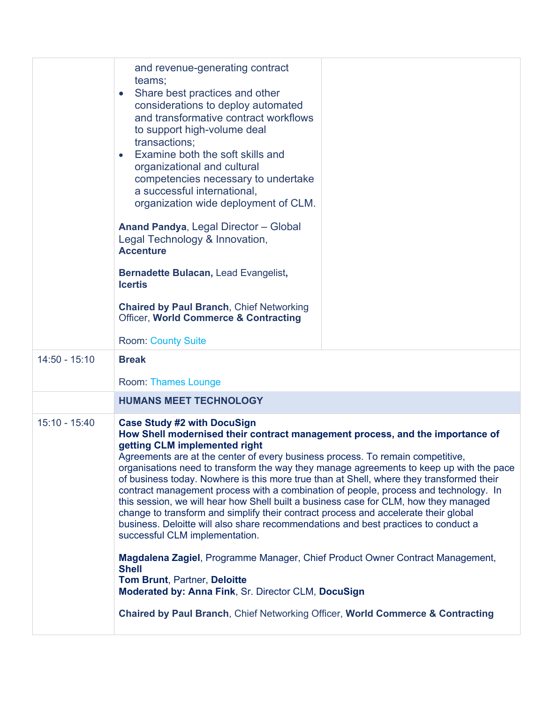|                 | and revenue-generating contract<br>teams;<br>Share best practices and other<br>$\bullet$<br>considerations to deploy automated<br>and transformative contract workflows<br>to support high-volume deal<br>transactions;<br>Examine both the soft skills and<br>$\bullet$<br>organizational and cultural<br>competencies necessary to undertake<br>a successful international,<br>organization wide deployment of CLM.<br>Anand Pandya, Legal Director - Global                                                                                                                                                                                                                                                                                                                                                                                                                                                                                                                                                                                                                                                                  |  |
|-----------------|---------------------------------------------------------------------------------------------------------------------------------------------------------------------------------------------------------------------------------------------------------------------------------------------------------------------------------------------------------------------------------------------------------------------------------------------------------------------------------------------------------------------------------------------------------------------------------------------------------------------------------------------------------------------------------------------------------------------------------------------------------------------------------------------------------------------------------------------------------------------------------------------------------------------------------------------------------------------------------------------------------------------------------------------------------------------------------------------------------------------------------|--|
|                 | Legal Technology & Innovation,<br><b>Accenture</b>                                                                                                                                                                                                                                                                                                                                                                                                                                                                                                                                                                                                                                                                                                                                                                                                                                                                                                                                                                                                                                                                              |  |
|                 | Bernadette Bulacan, Lead Evangelist,<br><b>Icertis</b>                                                                                                                                                                                                                                                                                                                                                                                                                                                                                                                                                                                                                                                                                                                                                                                                                                                                                                                                                                                                                                                                          |  |
|                 | <b>Chaired by Paul Branch, Chief Networking</b><br>Officer, World Commerce & Contracting                                                                                                                                                                                                                                                                                                                                                                                                                                                                                                                                                                                                                                                                                                                                                                                                                                                                                                                                                                                                                                        |  |
|                 | <b>Room: County Suite</b>                                                                                                                                                                                                                                                                                                                                                                                                                                                                                                                                                                                                                                                                                                                                                                                                                                                                                                                                                                                                                                                                                                       |  |
| $14:50 - 15:10$ | <b>Break</b>                                                                                                                                                                                                                                                                                                                                                                                                                                                                                                                                                                                                                                                                                                                                                                                                                                                                                                                                                                                                                                                                                                                    |  |
|                 | <b>Room: Thames Lounge</b>                                                                                                                                                                                                                                                                                                                                                                                                                                                                                                                                                                                                                                                                                                                                                                                                                                                                                                                                                                                                                                                                                                      |  |
|                 | <b>HUMANS MEET TECHNOLOGY</b>                                                                                                                                                                                                                                                                                                                                                                                                                                                                                                                                                                                                                                                                                                                                                                                                                                                                                                                                                                                                                                                                                                   |  |
| $15:10 - 15:40$ | <b>Case Study #2 with DocuSign</b><br>How Shell modernised their contract management process, and the importance of<br>getting CLM implemented right<br>Agreements are at the center of every business process. To remain competitive,<br>organisations need to transform the way they manage agreements to keep up with the pace<br>of business today. Nowhere is this more true than at Shell, where they transformed their<br>contract management process with a combination of people, process and technology. In<br>this session, we will hear how Shell built a business case for CLM, how they managed<br>change to transform and simplify their contract process and accelerate their global<br>business. Deloitte will also share recommendations and best practices to conduct a<br>successful CLM implementation.<br><b>Magdalena Zagiel, Programme Manager, Chief Product Owner Contract Management,</b><br><b>Shell</b><br><b>Tom Brunt, Partner, Deloitte</b><br>Moderated by: Anna Fink, Sr. Director CLM, DocuSign<br><b>Chaired by Paul Branch, Chief Networking Officer, World Commerce &amp; Contracting</b> |  |
|                 |                                                                                                                                                                                                                                                                                                                                                                                                                                                                                                                                                                                                                                                                                                                                                                                                                                                                                                                                                                                                                                                                                                                                 |  |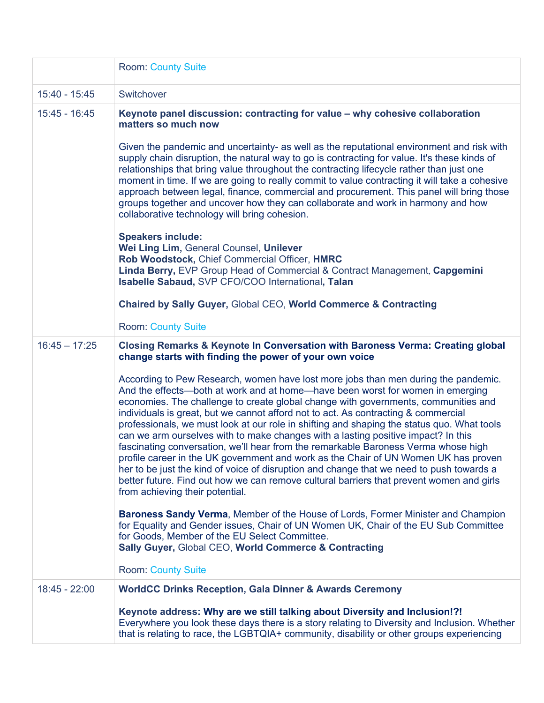|                 | <b>Room: County Suite</b>                                                                                                                                                                                                                                                                                                                                                                                                                                                                                                                                                                                                                                                                                                                                                                                                                                                                                                                   |
|-----------------|---------------------------------------------------------------------------------------------------------------------------------------------------------------------------------------------------------------------------------------------------------------------------------------------------------------------------------------------------------------------------------------------------------------------------------------------------------------------------------------------------------------------------------------------------------------------------------------------------------------------------------------------------------------------------------------------------------------------------------------------------------------------------------------------------------------------------------------------------------------------------------------------------------------------------------------------|
| 15:40 - 15:45   | Switchover                                                                                                                                                                                                                                                                                                                                                                                                                                                                                                                                                                                                                                                                                                                                                                                                                                                                                                                                  |
| 15:45 - 16:45   | Keynote panel discussion: contracting for value - why cohesive collaboration<br>matters so much now                                                                                                                                                                                                                                                                                                                                                                                                                                                                                                                                                                                                                                                                                                                                                                                                                                         |
|                 | Given the pandemic and uncertainty- as well as the reputational environment and risk with<br>supply chain disruption, the natural way to go is contracting for value. It's these kinds of<br>relationships that bring value throughout the contracting lifecycle rather than just one<br>moment in time. If we are going to really commit to value contracting it will take a cohesive<br>approach between legal, finance, commercial and procurement. This panel will bring those<br>groups together and uncover how they can collaborate and work in harmony and how<br>collaborative technology will bring cohesion.                                                                                                                                                                                                                                                                                                                     |
|                 | <b>Speakers include:</b>                                                                                                                                                                                                                                                                                                                                                                                                                                                                                                                                                                                                                                                                                                                                                                                                                                                                                                                    |
|                 | Wei Ling Lim, General Counsel, Unilever<br>Rob Woodstock, Chief Commercial Officer, HMRC<br>Linda Berry, EVP Group Head of Commercial & Contract Management, Capgemini<br>Isabelle Sabaud, SVP CFO/COO International, Talan                                                                                                                                                                                                                                                                                                                                                                                                                                                                                                                                                                                                                                                                                                                 |
|                 | <b>Chaired by Sally Guyer, Global CEO, World Commerce &amp; Contracting</b>                                                                                                                                                                                                                                                                                                                                                                                                                                                                                                                                                                                                                                                                                                                                                                                                                                                                 |
|                 | <b>Room: County Suite</b>                                                                                                                                                                                                                                                                                                                                                                                                                                                                                                                                                                                                                                                                                                                                                                                                                                                                                                                   |
| $16:45 - 17:25$ | Closing Remarks & Keynote In Conversation with Baroness Verma: Creating global<br>change starts with finding the power of your own voice                                                                                                                                                                                                                                                                                                                                                                                                                                                                                                                                                                                                                                                                                                                                                                                                    |
|                 | According to Pew Research, women have lost more jobs than men during the pandemic.<br>And the effects-both at work and at home-have been worst for women in emerging<br>economies. The challenge to create global change with governments, communities and<br>individuals is great, but we cannot afford not to act. As contracting & commercial<br>professionals, we must look at our role in shifting and shaping the status quo. What tools<br>can we arm ourselves with to make changes with a lasting positive impact? In this<br>fascinating conversation, we'll hear from the remarkable Baroness Verma whose high<br>profile career in the UK government and work as the Chair of UN Women UK has proven<br>her to be just the kind of voice of disruption and change that we need to push towards a<br>better future. Find out how we can remove cultural barriers that prevent women and girls<br>from achieving their potential. |
|                 | Baroness Sandy Verma, Member of the House of Lords, Former Minister and Champion<br>for Equality and Gender issues, Chair of UN Women UK, Chair of the EU Sub Committee<br>for Goods, Member of the EU Select Committee.<br>Sally Guyer, Global CEO, World Commerce & Contracting                                                                                                                                                                                                                                                                                                                                                                                                                                                                                                                                                                                                                                                           |
|                 | <b>Room: County Suite</b>                                                                                                                                                                                                                                                                                                                                                                                                                                                                                                                                                                                                                                                                                                                                                                                                                                                                                                                   |
| 18:45 - 22:00   | <b>WorldCC Drinks Reception, Gala Dinner &amp; Awards Ceremony</b>                                                                                                                                                                                                                                                                                                                                                                                                                                                                                                                                                                                                                                                                                                                                                                                                                                                                          |
|                 | Keynote address: Why are we still talking about Diversity and Inclusion!?!<br>Everywhere you look these days there is a story relating to Diversity and Inclusion. Whether<br>that is relating to race, the LGBTQIA+ community, disability or other groups experiencing                                                                                                                                                                                                                                                                                                                                                                                                                                                                                                                                                                                                                                                                     |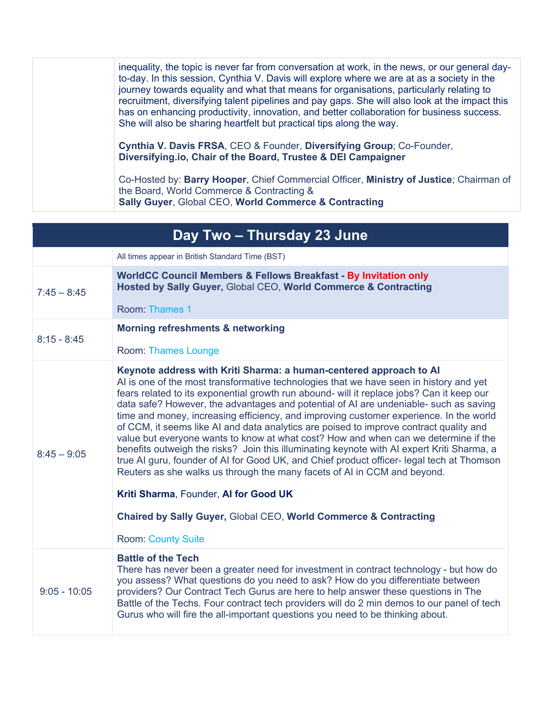| inequality, the topic is never far from conversation at work, in the news, or our general day-<br>to-day. In this session, Cynthia V. Davis will explore where we are at as a society in the<br>journey towards equality and what that means for organisations, particularly relating to<br>recruitment, diversifying talent pipelines and pay gaps. She will also look at the impact this<br>has on enhancing productivity, innovation, and better collaboration for business success.<br>She will also be sharing heartfelt but practical tips along the way. |
|-----------------------------------------------------------------------------------------------------------------------------------------------------------------------------------------------------------------------------------------------------------------------------------------------------------------------------------------------------------------------------------------------------------------------------------------------------------------------------------------------------------------------------------------------------------------|
| Cynthia V. Davis FRSA, CEO & Founder, Diversifying Group; Co-Founder,<br>Diversifying.io, Chair of the Board, Trustee & DEI Campaigner                                                                                                                                                                                                                                                                                                                                                                                                                          |
| Co-Hosted by: Barry Hooper, Chief Commercial Officer, Ministry of Justice; Chairman of<br>the Board, World Commerce & Contracting &<br><b>Sally Guyer, Global CEO, World Commerce &amp; Contracting</b>                                                                                                                                                                                                                                                                                                                                                         |

|                | Day Two - Thursday 23 June                                                                                                                                                                                                                                                                                                                                                                                                                                                                                                                                                                                                                                                                                                                                                                                                                                                                                                                                                                                                                               |
|----------------|----------------------------------------------------------------------------------------------------------------------------------------------------------------------------------------------------------------------------------------------------------------------------------------------------------------------------------------------------------------------------------------------------------------------------------------------------------------------------------------------------------------------------------------------------------------------------------------------------------------------------------------------------------------------------------------------------------------------------------------------------------------------------------------------------------------------------------------------------------------------------------------------------------------------------------------------------------------------------------------------------------------------------------------------------------|
|                | All times appear in British Standard Time (BST)                                                                                                                                                                                                                                                                                                                                                                                                                                                                                                                                                                                                                                                                                                                                                                                                                                                                                                                                                                                                          |
| $7:45 - 8:45$  | <b>WorldCC Council Members &amp; Fellows Breakfast - By Invitation only</b><br>Hosted by Sally Guyer, Global CEO, World Commerce & Contracting<br>Room: Thames 1                                                                                                                                                                                                                                                                                                                                                                                                                                                                                                                                                                                                                                                                                                                                                                                                                                                                                         |
| $8:15 - 8:45$  | <b>Morning refreshments &amp; networking</b><br>Room: Thames Lounge                                                                                                                                                                                                                                                                                                                                                                                                                                                                                                                                                                                                                                                                                                                                                                                                                                                                                                                                                                                      |
| $8:45 - 9:05$  | Keynote address with Kriti Sharma: a human-centered approach to Al<br>Al is one of the most transformative technologies that we have seen in history and yet<br>fears related to its exponential growth run abound- will it replace jobs? Can it keep our<br>data safe? However, the advantages and potential of AI are undeniable- such as saving<br>time and money, increasing efficiency, and improving customer experience. In the world<br>of CCM, it seems like AI and data analytics are poised to improve contract quality and<br>value but everyone wants to know at what cost? How and when can we determine if the<br>benefits outweigh the risks? Join this illuminating keynote with AI expert Kriti Sharma, a<br>true AI guru, founder of AI for Good UK, and Chief product officer-legal tech at Thomson<br>Reuters as she walks us through the many facets of AI in CCM and beyond.<br>Kriti Sharma, Founder, Al for Good UK<br><b>Chaired by Sally Guyer, Global CEO, World Commerce &amp; Contracting</b><br><b>Room: County Suite</b> |
| $9:05 - 10:05$ | <b>Battle of the Tech</b><br>There has never been a greater need for investment in contract technology - but how do<br>you assess? What questions do you need to ask? How do you differentiate between<br>providers? Our Contract Tech Gurus are here to help answer these questions in The<br>Battle of the Techs. Four contract tech providers will do 2 min demos to our panel of tech<br>Gurus who will fire the all-important questions you need to be thinking about.                                                                                                                                                                                                                                                                                                                                                                                                                                                                                                                                                                              |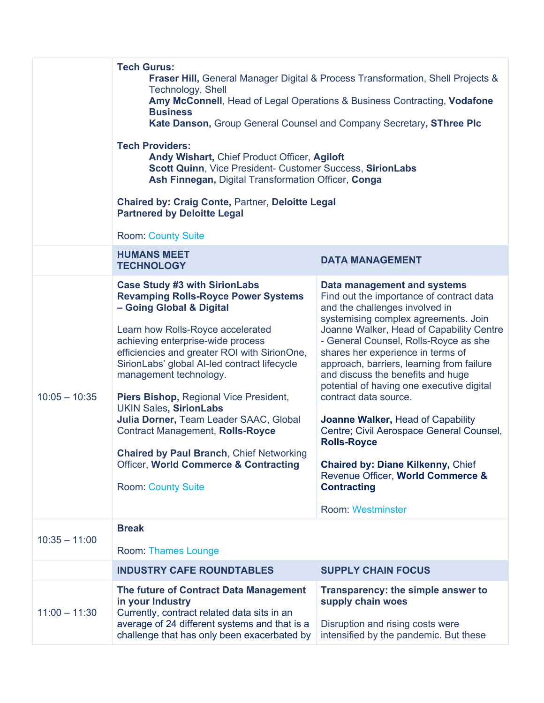|                 | <b>Tech Gurus:</b><br><b>Fraser Hill, General Manager Digital &amp; Process Transformation, Shell Projects &amp;</b><br>Technology, Shell<br>Amy McConnell, Head of Legal Operations & Business Contracting, Vodafone<br><b>Business</b><br>Kate Danson, Group General Counsel and Company Secretary, SThree PIc<br><b>Tech Providers:</b><br>Andy Wishart, Chief Product Officer, Agiloft<br>Scott Quinn, Vice President- Customer Success, SirionLabs<br>Ash Finnegan, Digital Transformation Officer, Conga<br><b>Chaired by: Craig Conte, Partner, Deloitte Legal</b><br><b>Partnered by Deloitte Legal</b>        |                                                                                                                                                                                                                                                                                                                                                                                                                                                                                                                                                                                                                                                                               |
|-----------------|------------------------------------------------------------------------------------------------------------------------------------------------------------------------------------------------------------------------------------------------------------------------------------------------------------------------------------------------------------------------------------------------------------------------------------------------------------------------------------------------------------------------------------------------------------------------------------------------------------------------|-------------------------------------------------------------------------------------------------------------------------------------------------------------------------------------------------------------------------------------------------------------------------------------------------------------------------------------------------------------------------------------------------------------------------------------------------------------------------------------------------------------------------------------------------------------------------------------------------------------------------------------------------------------------------------|
|                 | <b>Room: County Suite</b><br><b>HUMANS MEET</b><br><b>TECHNOLOGY</b>                                                                                                                                                                                                                                                                                                                                                                                                                                                                                                                                                   | <b>DATA MANAGEMENT</b>                                                                                                                                                                                                                                                                                                                                                                                                                                                                                                                                                                                                                                                        |
| $10:05 - 10:35$ | <b>Case Study #3 with SirionLabs</b><br><b>Revamping Rolls-Royce Power Systems</b><br>- Going Global & Digital<br>Learn how Rolls-Royce accelerated<br>achieving enterprise-wide process<br>efficiencies and greater ROI with SirionOne,<br>SirionLabs' global AI-led contract lifecycle<br>management technology.<br>Piers Bishop, Regional Vice President,<br><b>UKIN Sales, SirionLabs</b><br>Julia Dorner, Team Leader SAAC, Global<br><b>Contract Management, Rolls-Royce</b><br><b>Chaired by Paul Branch, Chief Networking</b><br><b>Officer, World Commerce &amp; Contracting</b><br><b>Room: County Suite</b> | Data management and systems<br>Find out the importance of contract data<br>and the challenges involved in<br>systemising complex agreements. Join<br>Joanne Walker, Head of Capability Centre<br>- General Counsel, Rolls-Royce as she<br>shares her experience in terms of<br>approach, barriers, learning from failure<br>and discuss the benefits and huge<br>potential of having one executive digital<br>contract data source.<br>Joanne Walker, Head of Capability<br>Centre; Civil Aerospace General Counsel,<br><b>Rolls-Royce</b><br><b>Chaired by: Diane Kilkenny, Chief</b><br>Revenue Officer, World Commerce &<br><b>Contracting</b><br><b>Room: Westminster</b> |
| $10:35 - 11:00$ | <b>Break</b><br>Room: Thames Lounge                                                                                                                                                                                                                                                                                                                                                                                                                                                                                                                                                                                    |                                                                                                                                                                                                                                                                                                                                                                                                                                                                                                                                                                                                                                                                               |
|                 | <b>INDUSTRY CAFE ROUNDTABLES</b>                                                                                                                                                                                                                                                                                                                                                                                                                                                                                                                                                                                       | <b>SUPPLY CHAIN FOCUS</b>                                                                                                                                                                                                                                                                                                                                                                                                                                                                                                                                                                                                                                                     |
| $11:00 - 11:30$ | The future of Contract Data Management<br>in your Industry<br>Currently, contract related data sits in an<br>average of 24 different systems and that is a<br>challenge that has only been exacerbated by                                                                                                                                                                                                                                                                                                                                                                                                              | Transparency: the simple answer to<br>supply chain woes<br>Disruption and rising costs were<br>intensified by the pandemic. But these                                                                                                                                                                                                                                                                                                                                                                                                                                                                                                                                         |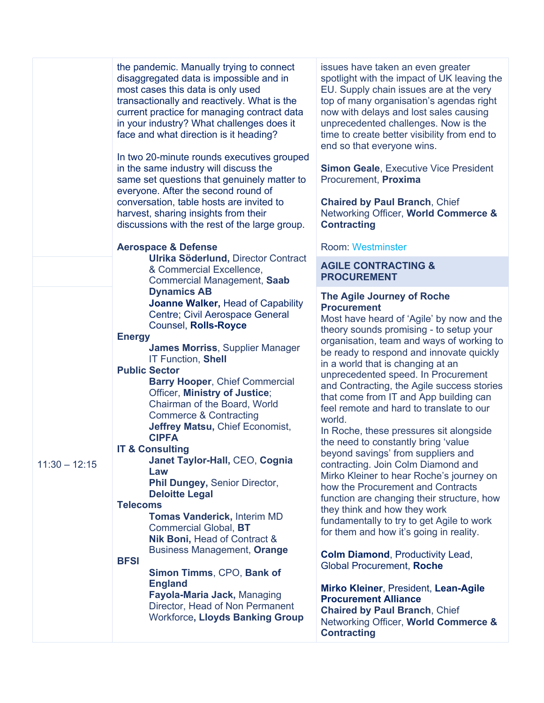|                                                                                                                                                                                                                                                                                                                                                                                                                                                                                                                                                                                                                       | the pandemic. Manually trying to connect<br>disaggregated data is impossible and in<br>most cases this data is only used<br>transactionally and reactively. What is the<br>current practice for managing contract data<br>in your industry? What challenges does it<br>face and what direction is it heading?<br>In two 20-minute rounds executives grouped<br>in the same industry will discuss the<br>same set questions that genuinely matter to<br>everyone. After the second round of<br>conversation, table hosts are invited to<br>harvest, sharing insights from their<br>discussions with the rest of the large group. | issues have taken an even greater<br>spotlight with the impact of UK leaving the<br>EU. Supply chain issues are at the very<br>top of many organisation's agendas right<br>now with delays and lost sales causing<br>unprecedented challenges. Now is the<br>time to create better visibility from end to<br>end so that everyone wins.<br><b>Simon Geale, Executive Vice President</b><br>Procurement, Proxima<br><b>Chaired by Paul Branch, Chief</b><br>Networking Officer, World Commerce &<br><b>Contracting</b>                                                                                                                                                                                                                                                                                                                                                                                                                                                                                                                                                                                                                 |
|-----------------------------------------------------------------------------------------------------------------------------------------------------------------------------------------------------------------------------------------------------------------------------------------------------------------------------------------------------------------------------------------------------------------------------------------------------------------------------------------------------------------------------------------------------------------------------------------------------------------------|---------------------------------------------------------------------------------------------------------------------------------------------------------------------------------------------------------------------------------------------------------------------------------------------------------------------------------------------------------------------------------------------------------------------------------------------------------------------------------------------------------------------------------------------------------------------------------------------------------------------------------|---------------------------------------------------------------------------------------------------------------------------------------------------------------------------------------------------------------------------------------------------------------------------------------------------------------------------------------------------------------------------------------------------------------------------------------------------------------------------------------------------------------------------------------------------------------------------------------------------------------------------------------------------------------------------------------------------------------------------------------------------------------------------------------------------------------------------------------------------------------------------------------------------------------------------------------------------------------------------------------------------------------------------------------------------------------------------------------------------------------------------------------|
|                                                                                                                                                                                                                                                                                                                                                                                                                                                                                                                                                                                                                       | <b>Aerospace &amp; Defense</b>                                                                                                                                                                                                                                                                                                                                                                                                                                                                                                                                                                                                  | <b>Room: Westminster</b>                                                                                                                                                                                                                                                                                                                                                                                                                                                                                                                                                                                                                                                                                                                                                                                                                                                                                                                                                                                                                                                                                                              |
|                                                                                                                                                                                                                                                                                                                                                                                                                                                                                                                                                                                                                       | & Commercial Excellence,<br>Commercial Management, Saab                                                                                                                                                                                                                                                                                                                                                                                                                                                                                                                                                                         | <b>AGILE CONTRACTING &amp;</b><br><b>PROCUREMENT</b>                                                                                                                                                                                                                                                                                                                                                                                                                                                                                                                                                                                                                                                                                                                                                                                                                                                                                                                                                                                                                                                                                  |
| Ulrika Söderlund, Director Contract<br><b>Dynamics AB</b><br>Counsel, Rolls-Royce<br><b>Energy</b><br><b>IT Function, Shell</b><br><b>Public Sector</b><br>Officer, Ministry of Justice;<br>Chairman of the Board, World<br><b>Commerce &amp; Contracting</b><br><b>CIPFA</b><br><b>IT &amp; Consulting</b><br>$11:30 - 12:15$<br>Law<br>Phil Dungey, Senior Director,<br><b>Deloitte Legal</b><br><b>Telecoms</b><br><b>Tomas Vanderick, Interim MD</b><br><b>Commercial Global, BT</b><br>Nik Boni, Head of Contract &<br><b>BFSI</b><br>Simon Timms, CPO, Bank of<br><b>England</b><br>Fayola-Maria Jack, Managing | Joanne Walker, Head of Capability<br>Centre; Civil Aerospace General<br><b>James Morriss, Supplier Manager</b><br><b>Barry Hooper, Chief Commercial</b><br>Jeffrey Matsu, Chief Economist,<br>Janet Taylor-Hall, CEO, Cognia<br><b>Business Management, Orange</b><br>Director, Head of Non Permanent<br><b>Workforce, Lloyds Banking Group</b>                                                                                                                                                                                                                                                                                 | The Agile Journey of Roche<br><b>Procurement</b><br>Most have heard of 'Agile' by now and the<br>theory sounds promising - to setup your<br>organisation, team and ways of working to<br>be ready to respond and innovate quickly<br>in a world that is changing at an<br>unprecedented speed. In Procurement<br>and Contracting, the Agile success stories<br>that come from IT and App building can<br>feel remote and hard to translate to our<br>world.<br>In Roche, these pressures sit alongside<br>the need to constantly bring 'value<br>beyond savings' from suppliers and<br>contracting. Join Colm Diamond and<br>Mirko Kleiner to hear Roche's journey on<br>how the Procurement and Contracts<br>function are changing their structure, how<br>they think and how they work<br>fundamentally to try to get Agile to work<br>for them and how it's going in reality.<br><b>Colm Diamond, Productivity Lead,</b><br>Global Procurement, Roche<br>Mirko Kleiner, President, Lean-Agile<br><b>Procurement Alliance</b><br><b>Chaired by Paul Branch, Chief</b><br>Networking Officer, World Commerce &<br><b>Contracting</b> |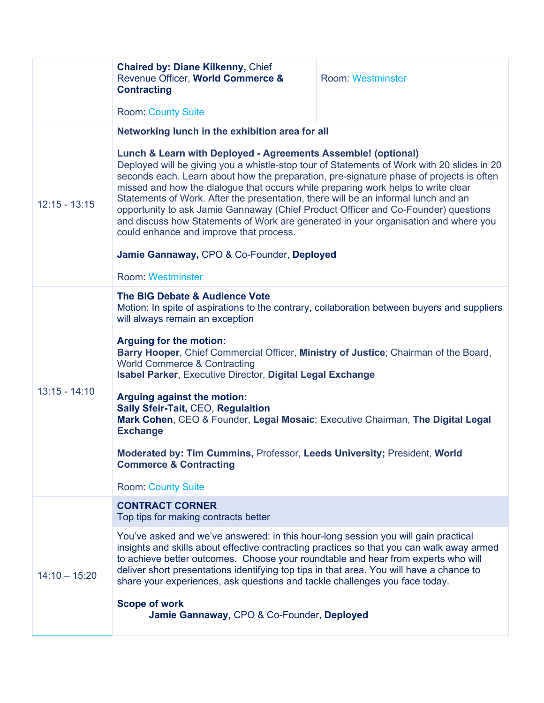|                 | <b>Chaired by: Diane Kilkenny, Chief</b><br>Revenue Officer, World Commerce &<br><b>Contracting</b>                                                                                                                                                                                                                                                                                                                                                                                                                                                                                                                                                                                                                                                                                    | <b>Room: Westminster</b> |
|-----------------|----------------------------------------------------------------------------------------------------------------------------------------------------------------------------------------------------------------------------------------------------------------------------------------------------------------------------------------------------------------------------------------------------------------------------------------------------------------------------------------------------------------------------------------------------------------------------------------------------------------------------------------------------------------------------------------------------------------------------------------------------------------------------------------|--------------------------|
|                 | <b>Room: County Suite</b>                                                                                                                                                                                                                                                                                                                                                                                                                                                                                                                                                                                                                                                                                                                                                              |                          |
| $12:15 - 13:15$ | Networking lunch in the exhibition area for all<br>Lunch & Learn with Deployed - Agreements Assemble! (optional)<br>Deployed will be giving you a whistle-stop tour of Statements of Work with 20 slides in 20<br>seconds each. Learn about how the preparation, pre-signature phase of projects is often<br>missed and how the dialogue that occurs while preparing work helps to write clear<br>Statements of Work. After the presentation, there will be an informal lunch and an<br>opportunity to ask Jamie Gannaway (Chief Product Officer and Co-Founder) questions<br>and discuss how Statements of Work are generated in your organisation and where you<br>could enhance and improve that process.<br>Jamie Gannaway, CPO & Co-Founder, Deployed<br><b>Room: Westminster</b> |                          |
| $13:15 - 14:10$ | The BIG Debate & Audience Vote<br>Motion: In spite of aspirations to the contrary, collaboration between buyers and suppliers<br>will always remain an exception<br><b>Arguing for the motion:</b><br>Barry Hooper, Chief Commercial Officer, Ministry of Justice; Chairman of the Board,<br><b>World Commerce &amp; Contracting</b><br>Isabel Parker, Executive Director, Digital Legal Exchange<br>Arguing against the motion:<br><b>Sally Sfeir-Tait, CEO, Regulaition</b><br>Mark Cohen, CEO & Founder, Legal Mosaic; Executive Chairman, The Digital Legal<br><b>Exchange</b><br><b>Moderated by: Tim Cummins, Professor, Leeds University; President, World</b><br><b>Commerce &amp; Contracting</b><br><b>Room: County Suite</b>                                                |                          |
|                 | <b>CONTRACT CORNER</b><br>Top tips for making contracts better                                                                                                                                                                                                                                                                                                                                                                                                                                                                                                                                                                                                                                                                                                                         |                          |
| $14:10 - 15:20$ | You've asked and we've answered: in this hour-long session you will gain practical<br>insights and skills about effective contracting practices so that you can walk away armed<br>to achieve better outcomes. Choose your roundtable and hear from experts who will<br>deliver short presentations identifying top tips in that area. You will have a chance to<br>share your experiences, ask questions and tackle challenges you face today.<br><b>Scope of work</b><br>Jamie Gannaway, CPO & Co-Founder, Deployed                                                                                                                                                                                                                                                                  |                          |